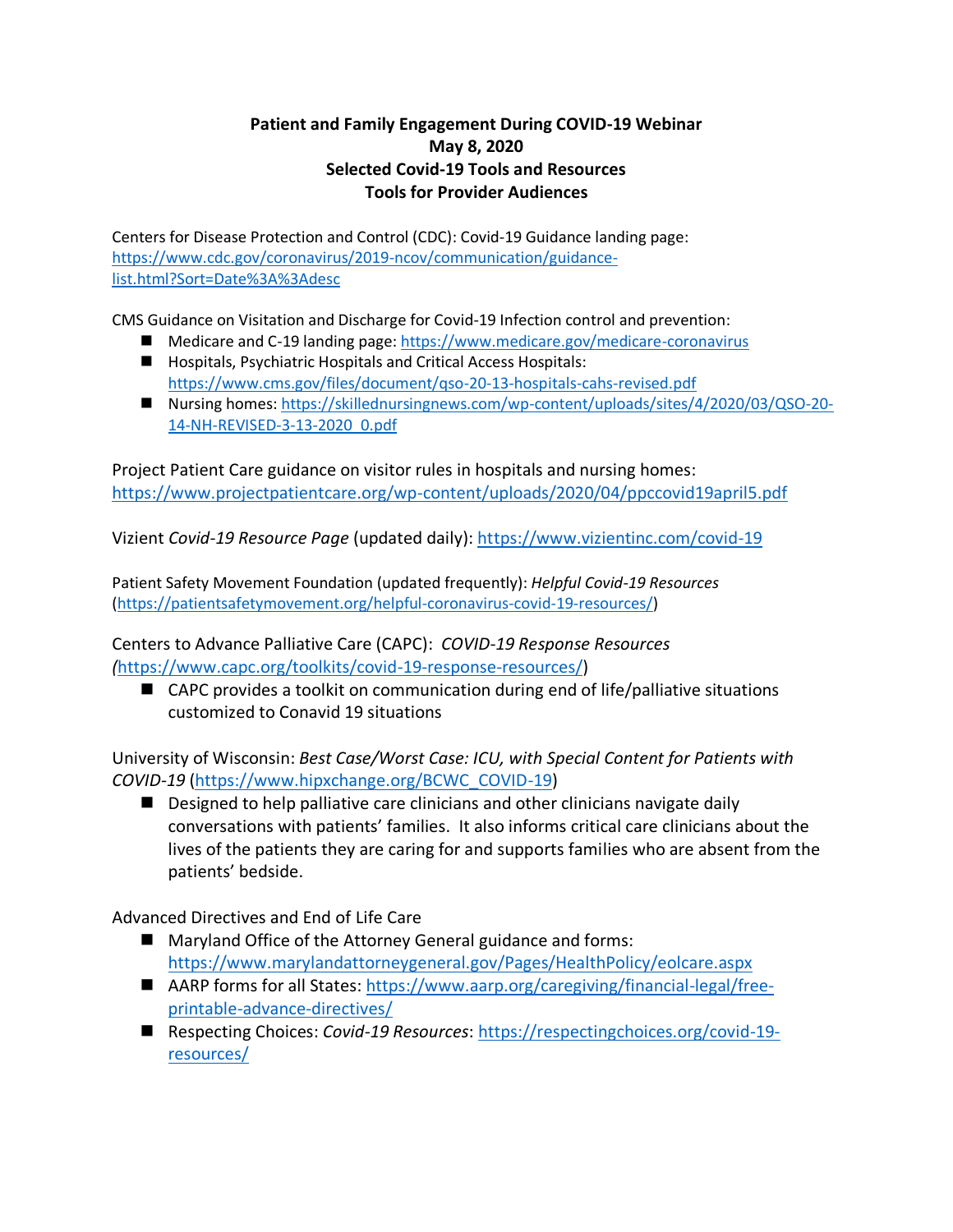## **Patient and Family Engagement During COVID-19 Webinar May 8, 2020 Selected Covid-19 Tools and Resources Tools for Provider Audiences**

Centers for Disease Protection and Control (CDC): Covid-19 Guidance landing page: [https://www.cdc.gov/coronavirus/2019-ncov/communication/guidance](https://www.cdc.gov/coronavirus/2019-ncov/communication/guidance-list.html?Sort=Date%3A%3Adesc)[list.html?Sort=Date%3A%3Adesc](https://www.cdc.gov/coronavirus/2019-ncov/communication/guidance-list.html?Sort=Date%3A%3Adesc)

CMS Guidance on Visitation and Discharge for Covid-19 Infection control and prevention:

- Medicare and C-19 landing page[: https://www.medicare.gov/medicare-coronavirus](https://www.medicare.gov/medicare-coronavirus)
- Hospitals, Psychiatric Hospitals and Critical Access Hospitals: <https://www.cms.gov/files/document/qso-20-13-hospitals-cahs-revised.pdf>
- Nursing homes[: https://skillednursingnews.com/wp-content/uploads/sites/4/2020/03/QSO-20-](https://skillednursingnews.com/wp-content/uploads/sites/4/2020/03/QSO-20-14-NH-REVISED-3-13-2020_0.pdf) [14-NH-REVISED-3-13-2020\\_0.pdf](https://skillednursingnews.com/wp-content/uploads/sites/4/2020/03/QSO-20-14-NH-REVISED-3-13-2020_0.pdf)

Project Patient Care guidance on visitor rules in hospitals and nursing homes: <https://www.projectpatientcare.org/wp-content/uploads/2020/04/ppccovid19april5.pdf>

Vizient *Covid-19 Resource Page* (updated daily):<https://www.vizientinc.com/covid-19>

Patient Safety Movement Foundation (updated frequently): *Helpful Covid-19 Resources* [\(https://patientsafetymovement.org/helpful-coronavirus-covid-19-resources/\)](https://patientsafetymovement.org/helpful-coronavirus-covid-19-resources/)

Centers to Advance Palliative Care (CAPC): *COVID-19 Response Resources (*[https://www.capc.org/toolkits/covid-19-response-resources/\)](https://www.capc.org/toolkits/covid-19-response-resources/)

■ CAPC provides a toolkit on communication during end of life/palliative situations customized to Conavid 19 situations

University of Wisconsin: *Best Case/Worst Case: ICU, with Special Content for Patients with COVID-19* [\(https://www.hipxchange.org/BCWC\\_COVID-19\)](https://www.hipxchange.org/BCWC_COVID-19)

■ Designed to help palliative care clinicians and other clinicians navigate daily conversations with patients' families. It also informs critical care clinicians about the lives of the patients they are caring for and supports families who are absent from the patients' bedside.

Advanced Directives and End of Life Care

- Maryland Office of the Attorney General guidance and forms: <https://www.marylandattorneygeneral.gov/Pages/HealthPolicy/eolcare.aspx>
- AARP forms for all States: [https://www.aarp.org/caregiving/financial-legal/free](https://www.aarp.org/caregiving/financial-legal/free-printable-advance-directives/)[printable-advance-directives/](https://www.aarp.org/caregiving/financial-legal/free-printable-advance-directives/)
- Respecting Choices: *Covid-19 Resources*: [https://respectingchoices.org/covid-19](https://respectingchoices.org/covid-19-resources/) [resources/](https://respectingchoices.org/covid-19-resources/)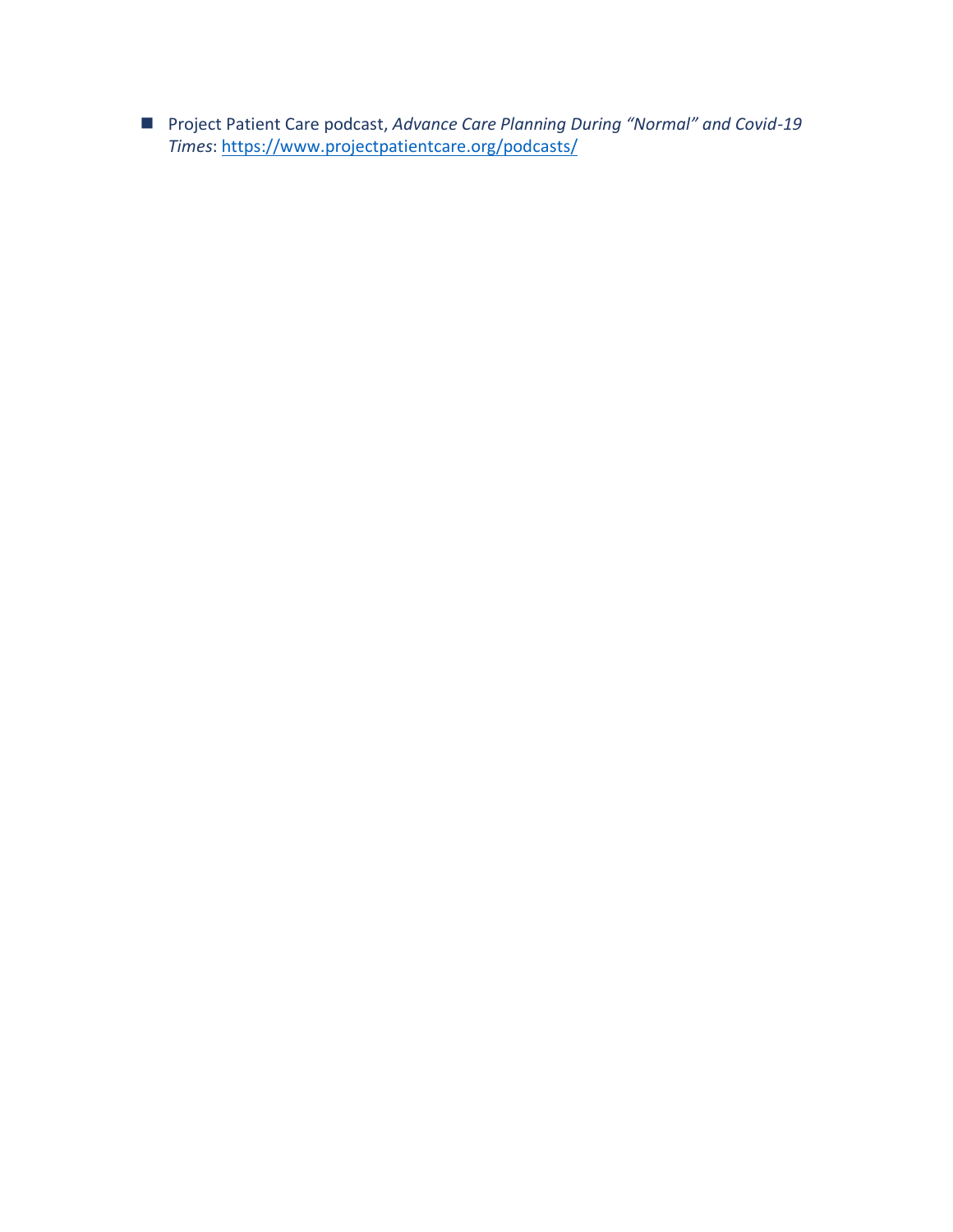Project Patient Care podcast, Advance Care Planning During "Normal" and Covid-19 Times: https://www.projectpatientcare.org/podcasts/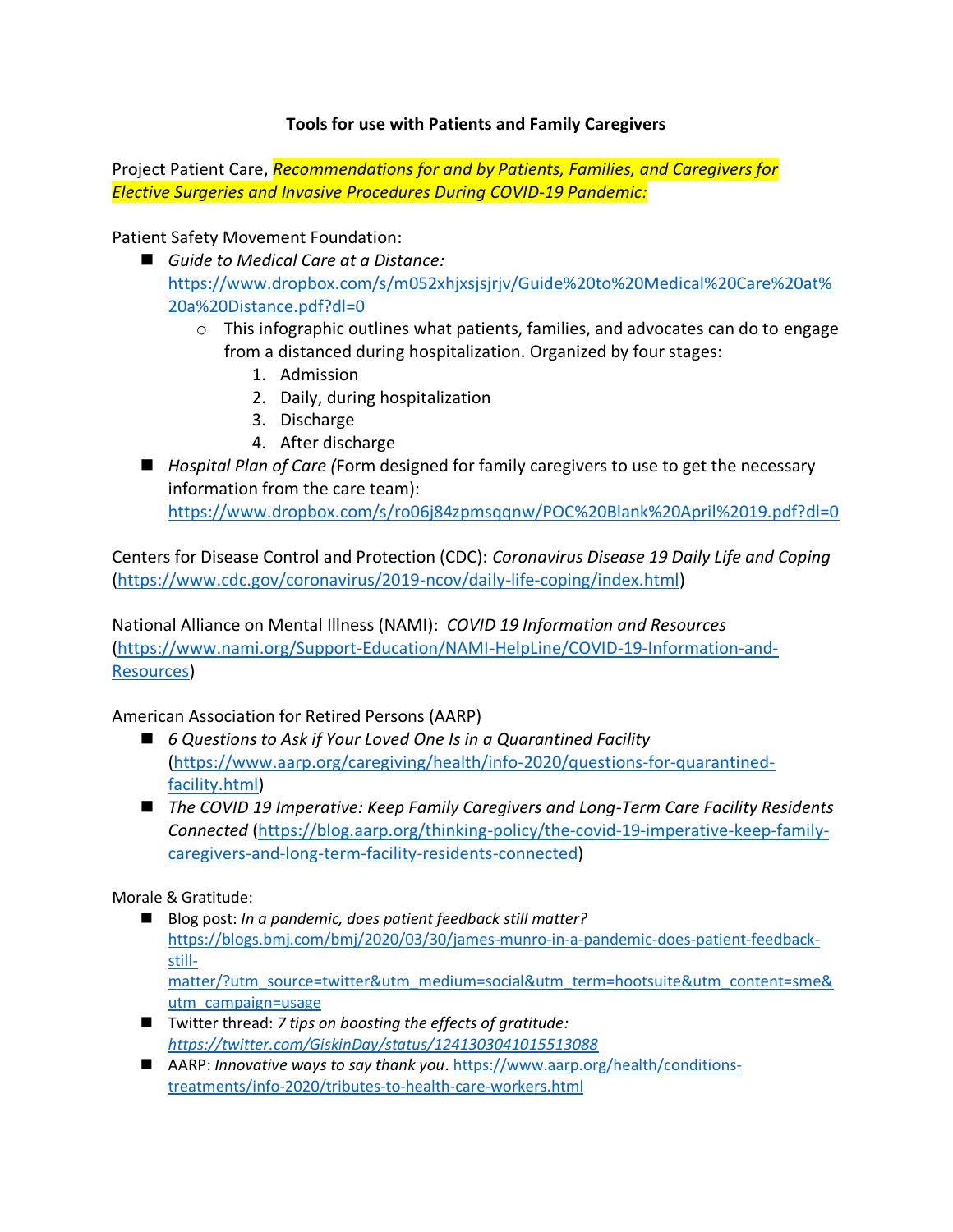## **Tools for use with Patients and Family Caregivers**

Project Patient Care, *Recommendations for and by Patients, Families, and Caregivers for Elective Surgeries and Invasive Procedures During COVID-19 Pandemic:*

Patient Safety Movement Foundation:

- *Guide to Medical Care at a Distance:* [https://www.dropbox.com/s/m052xhjxsjsjrjv/Guide%20to%20Medical%20Care%20at%](https://www.dropbox.com/s/m052xhjxsjsjrjv/Guide%20to%20Medical%20Care%20at%20a%20Distance.pdf?dl=0) [20a%20Distance.pdf?dl=0](https://www.dropbox.com/s/m052xhjxsjsjrjv/Guide%20to%20Medical%20Care%20at%20a%20Distance.pdf?dl=0)
	- $\circ$  This infographic outlines what patients, families, and advocates can do to engage from a distanced during hospitalization. Organized by four stages:
		- 1. Admission
		- 2. Daily, during hospitalization
		- 3. Discharge
		- 4. After discharge
- *Hospital Plan of Care (Form designed for family caregivers to use to get the necessary* information from the care team):

<https://www.dropbox.com/s/ro06j84zpmsqqnw/POC%20Blank%20April%2019.pdf?dl=0>

Centers for Disease Control and Protection (CDC): *Coronavirus Disease 19 Daily Life and Coping* [\(https://www.cdc.gov/coronavirus/2019-ncov/daily-life-coping/index.html\)](https://www.cdc.gov/coronavirus/2019-ncov/daily-life-coping/index.html)

National Alliance on Mental Illness (NAMI): *COVID 19 Information and Resources* [\(https://www.nami.org/Support-Education/NAMI-HelpLine/COVID-19-Information-and-](https://www.nami.org/Support-Education/NAMI-HelpLine/COVID-19-Information-and-Resources)[Resources\)](https://www.nami.org/Support-Education/NAMI-HelpLine/COVID-19-Information-and-Resources)

## American Association for Retired Persons (AARP)

- *6 Questions to Ask if Your Loved One Is in a Quarantined Facility* [\(https://www.aarp.org/caregiving/health/info-2020/questions-for-quarantined](https://www.aarp.org/caregiving/health/info-2020/questions-for-quarantined-facility.html)[facility.html\)](https://www.aarp.org/caregiving/health/info-2020/questions-for-quarantined-facility.html)
- ◼ *The COVID 19 Imperative: Keep Family Caregivers and Long-Term Care Facility Residents Connected* [\(https://blog.aarp.org/thinking-policy/the-covid-19-imperative-keep-family](https://blog.aarp.org/thinking-policy/the-covid-19-imperative-keep-family-caregivers-and-long-term-facility-residents-connected)[caregivers-and-long-term-facility-residents-connected\)](https://blog.aarp.org/thinking-policy/the-covid-19-imperative-keep-family-caregivers-and-long-term-facility-residents-connected)

Morale & Gratitude:

- Blog post: *In a pandemic, does patient feedback still matter?* [https://blogs.bmj.com/bmj/2020/03/30/james-munro-in-a-pandemic-does-patient-feedback](https://blogs.bmj.com/bmj/2020/03/30/james-munro-in-a-pandemic-does-patient-feedback-still-matter/?utm_source=twitter&utm_medium=social&utm_term=hootsuite&utm_content=sme&utm_campaign=usage)[still](https://blogs.bmj.com/bmj/2020/03/30/james-munro-in-a-pandemic-does-patient-feedback-still-matter/?utm_source=twitter&utm_medium=social&utm_term=hootsuite&utm_content=sme&utm_campaign=usage)[matter/?utm\\_source=twitter&utm\\_medium=social&utm\\_term=hootsuite&utm\\_content=sme&](https://blogs.bmj.com/bmj/2020/03/30/james-munro-in-a-pandemic-does-patient-feedback-still-matter/?utm_source=twitter&utm_medium=social&utm_term=hootsuite&utm_content=sme&utm_campaign=usage) [utm\\_campaign=usage](https://blogs.bmj.com/bmj/2020/03/30/james-munro-in-a-pandemic-does-patient-feedback-still-matter/?utm_source=twitter&utm_medium=social&utm_term=hootsuite&utm_content=sme&utm_campaign=usage)
- ◼ Twitter thread: *7 tips on boosting the effects of gratitude: <https://twitter.com/GiskinDay/status/1241303041015513088>*
- AARP: *Innovative ways to say thank you*. [https://www.aarp.org/health/conditions](https://www.aarp.org/health/conditions-treatments/info-2020/tributes-to-health-care-workers.html)[treatments/info-2020/tributes-to-health-care-workers.html](https://www.aarp.org/health/conditions-treatments/info-2020/tributes-to-health-care-workers.html)